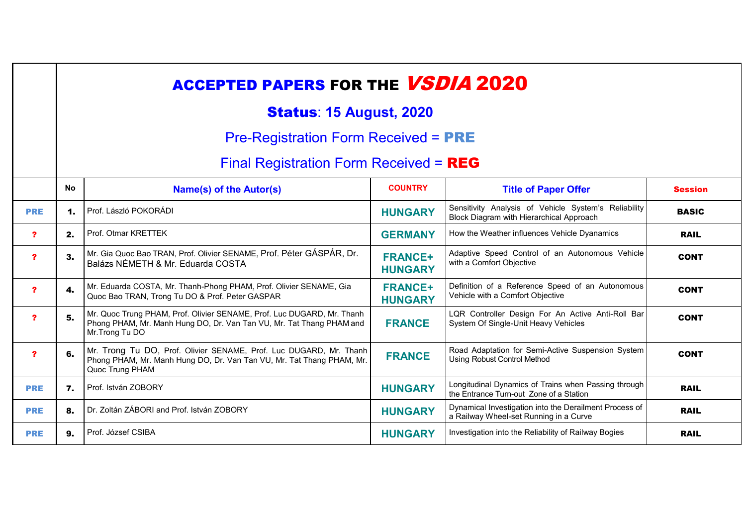|                         | <b>ACCEPTED PAPERS FOR THE VSDIA 2020</b>   |                                                                                                                                                                   |                                  |                                                                                                  |                |  |
|-------------------------|---------------------------------------------|-------------------------------------------------------------------------------------------------------------------------------------------------------------------|----------------------------------|--------------------------------------------------------------------------------------------------|----------------|--|
|                         | <b>Status: 15 August, 2020</b>              |                                                                                                                                                                   |                                  |                                                                                                  |                |  |
|                         | <b>Pre-Registration Form Received = PRE</b> |                                                                                                                                                                   |                                  |                                                                                                  |                |  |
|                         | Final Registration Form Received = $REG$    |                                                                                                                                                                   |                                  |                                                                                                  |                |  |
|                         | <b>No</b>                                   | Name(s) of the Autor(s)                                                                                                                                           | <b>COUNTRY</b>                   | <b>Title of Paper Offer</b>                                                                      | <b>Session</b> |  |
| <b>PRE</b>              | $\mathbf 1$ .                               | Prof. László POKORÁDI                                                                                                                                             | <b>HUNGARY</b>                   | Sensitivity Analysis of Vehicle System's Reliability<br>Block Diagram with Hierarchical Approach | <b>BASIC</b>   |  |
| ?                       | 2.                                          | Prof. Otmar KRETTEK                                                                                                                                               | <b>GERMANY</b>                   | How the Weather influences Vehicle Dyanamics                                                     | <b>RAIL</b>    |  |
| $\overline{\mathbf{r}}$ | 3.                                          | Mr. Gia Quoc Bao TRAN, Prof. Olivier SENAME, Prof. Péter GÁSPÁR, Dr.<br>Balázs NÉMETH & Mr. Eduarda COSTA                                                         | <b>FRANCE+</b><br><b>HUNGARY</b> | Adaptive Speed Control of an Autonomous Vehicle<br>with a Comfort Objective                      | <b>CONT</b>    |  |
| $\overline{\mathbf{r}}$ | 4.                                          | Mr. Eduarda COSTA, Mr. Thanh-Phong PHAM, Prof. Olivier SENAME, Gia<br>Quoc Bao TRAN, Trong Tu DO & Prof. Peter GASPAR                                             | <b>FRANCE+</b><br><b>HUNGARY</b> | Definition of a Reference Speed of an Autonomous<br>Vehicle with a Comfort Objective             | <b>CONT</b>    |  |
| $\mathbf{r}$            | 5.                                          | Mr. Quoc Trung PHAM, Prof. Olivier SENAME, Prof. Luc DUGARD, Mr. Thanh<br>Phong PHAM, Mr. Manh Hung DO, Dr. Van Tan VU, Mr. Tat Thang PHAM and<br>Mr. Trong Tu DO | <b>FRANCE</b>                    | LQR Controller Design For An Active Anti-Roll Bar<br>System Of Single-Unit Heavy Vehicles        | <b>CONT</b>    |  |
| $\overline{\mathbf{r}}$ | 6.                                          | Mr. Trong Tu DO, Prof. Olivier SENAME, Prof. Luc DUGARD, Mr. Thanh<br>Phong PHAM, Mr. Manh Hung DO, Dr. Van Tan VU, Mr. Tat Thang PHAM, Mr.<br>Quoc Trung PHAM    | <b>FRANCE</b>                    | Road Adaptation for Semi-Active Suspension System<br><b>Using Robust Control Method</b>          | <b>CONT</b>    |  |
| <b>PRE</b>              | 7.                                          | Prof. István ZOBORY                                                                                                                                               | <b>HUNGARY</b>                   | Longitudinal Dynamics of Trains when Passing through<br>the Entrance Turn-out Zone of a Station  | <b>RAIL</b>    |  |
| <b>PRE</b>              | 8.                                          | Dr. Zoltán ZÁBORI and Prof. István ZOBORY                                                                                                                         | <b>HUNGARY</b>                   | Dynamical Investigation into the Derailment Process of<br>a Railway Wheel-set Running in a Curve | <b>RAIL</b>    |  |
| <b>PRE</b>              | 9.                                          | Prof. József CSIBA                                                                                                                                                | <b>HUNGARY</b>                   | Investigation into the Reliability of Railway Bogies                                             | <b>RAIL</b>    |  |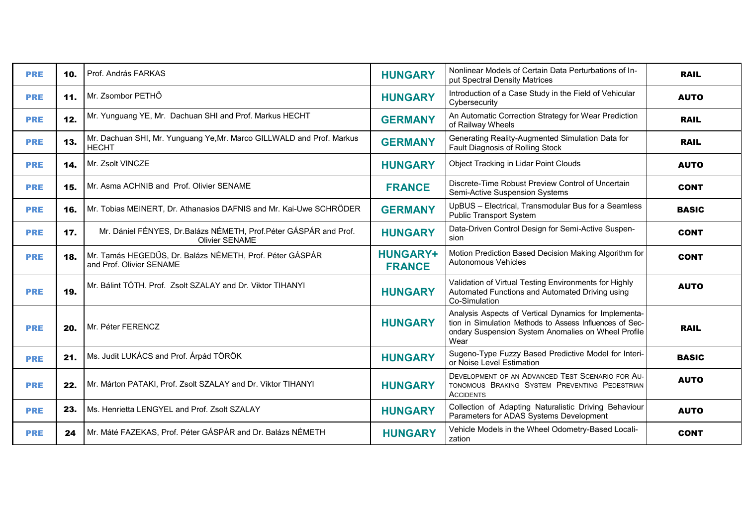| <b>PRE</b> | 10. | Prof. András FARKAS                                                                         | <b>HUNGARY</b>                   | Nonlinear Models of Certain Data Perturbations of In-<br>put Spectral Density Matrices                                                                                          | <b>RAIL</b>  |
|------------|-----|---------------------------------------------------------------------------------------------|----------------------------------|---------------------------------------------------------------------------------------------------------------------------------------------------------------------------------|--------------|
| <b>PRE</b> | 11. | Mr. Zsombor PETHŐ                                                                           | <b>HUNGARY</b>                   | Introduction of a Case Study in the Field of Vehicular<br>Cybersecurity                                                                                                         | <b>AUTO</b>  |
| <b>PRE</b> | 12. | Mr. Yunguang YE, Mr. Dachuan SHI and Prof. Markus HECHT                                     | <b>GERMANY</b>                   | An Automatic Correction Strategy for Wear Prediction<br>of Railway Wheels                                                                                                       | <b>RAIL</b>  |
| <b>PRE</b> | 13. | Mr. Dachuan SHI, Mr. Yunguang Ye, Mr. Marco GILLWALD and Prof. Markus<br><b>HECHT</b>       | <b>GERMANY</b>                   | Generating Reality-Augmented Simulation Data for<br>Fault Diagnosis of Rolling Stock                                                                                            | <b>RAIL</b>  |
| <b>PRE</b> | 14. | Mr. Zsolt VINCZE                                                                            | <b>HUNGARY</b>                   | Object Tracking in Lidar Point Clouds                                                                                                                                           | <b>AUTO</b>  |
| <b>PRE</b> | 15. | Mr. Asma ACHNIB and Prof. Olivier SENAME                                                    | <b>FRANCE</b>                    | Discrete-Time Robust Preview Control of Uncertain<br>Semi-Active Suspension Systems                                                                                             | <b>CONT</b>  |
| <b>PRE</b> | 16. | Mr. Tobias MEINERT, Dr. Athanasios DAFNIS and Mr. Kai-Uwe SCHRÖDER                          | <b>GERMANY</b>                   | UpBUS - Electrical, Transmodular Bus for a Seamless<br>Public Transport System                                                                                                  | <b>BASIC</b> |
| <b>PRE</b> | 17. | Mr. Dániel FÉNYES, Dr. Balázs NÉMETH, Prof. Péter GÁSPÁR and Prof.<br><b>Olivier SENAME</b> | <b>HUNGARY</b>                   | Data-Driven Control Design for Semi-Active Suspen-<br>sion                                                                                                                      | <b>CONT</b>  |
| <b>PRE</b> | 18. | Mr. Tamás HEGEDŰS, Dr. Balázs NÉMETH, Prof. Péter GÁSPÁR<br>and Prof. Olivier SENAME        | <b>HUNGARY+</b><br><b>FRANCE</b> | Motion Prediction Based Decision Making Algorithm for<br><b>Autonomous Vehicles</b>                                                                                             | <b>CONT</b>  |
| <b>PRE</b> | 19. | Mr. Bálint TÓTH. Prof. Zsolt SZALAY and Dr. Viktor TIHANYI                                  | <b>HUNGARY</b>                   | Validation of Virtual Testing Environments for Highly<br>Automated Functions and Automated Driving using<br>Co-Simulation                                                       | <b>AUTO</b>  |
| <b>PRE</b> | 20. | Mr. Péter FERENCZ                                                                           | <b>HUNGARY</b>                   | Analysis Aspects of Vertical Dynamics for Implementa-<br>tion in Simulation Methods to Assess Influences of Sec-<br>ondary Suspension System Anomalies on Wheel Profile<br>Wear | <b>RAIL</b>  |
| <b>PRE</b> | 21. | Ms. Judit LUKÁCS and Prof. Árpád TÖRÖK                                                      | <b>HUNGARY</b>                   | Sugeno-Type Fuzzy Based Predictive Model for Interi-<br>or Noise Level Estimation                                                                                               | <b>BASIC</b> |
| <b>PRE</b> | 22. | Mr. Márton PATAKI, Prof. Zsolt SZALAY and Dr. Viktor TIHANYI                                | <b>HUNGARY</b>                   | DEVELOPMENT OF AN ADVANCED TEST SCENARIO FOR AU-<br>TONOMOUS BRAKING SYSTEM PREVENTING PEDESTRIAN<br><b>ACCIDENTS</b>                                                           | <b>AUTO</b>  |
| <b>PRE</b> | 23. | Ms. Henrietta LENGYEL and Prof. Zsolt SZALAY                                                | <b>HUNGARY</b>                   | Collection of Adapting Naturalistic Driving Behaviour<br>Parameters for ADAS Systems Development                                                                                | <b>AUTO</b>  |
| <b>PRE</b> | 24  | Mr. Máté FAZEKAS, Prof. Péter GÁSPÁR and Dr. Balázs NÉMETH                                  | <b>HUNGARY</b>                   | Vehicle Models in the Wheel Odometry-Based Locali-<br>zation                                                                                                                    | <b>CONT</b>  |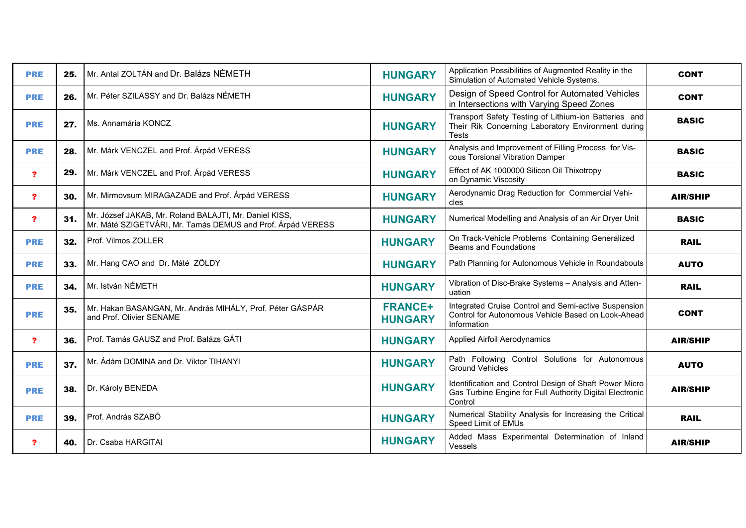| <b>PRE</b>              | 25. | Mr. Antal ZOLTÁN and Dr. Balázs NÉMETH                                                                                | <b>HUNGARY</b>                   | Application Possibilities of Augmented Reality in the<br>Simulation of Automated Vehicle Systems.                             | <b>CONT</b>     |
|-------------------------|-----|-----------------------------------------------------------------------------------------------------------------------|----------------------------------|-------------------------------------------------------------------------------------------------------------------------------|-----------------|
| <b>PRE</b>              | 26. | Mr. Péter SZILASSY and Dr. Balázs NÉMETH                                                                              | <b>HUNGARY</b>                   | Design of Speed Control for Automated Vehicles<br>in Intersections with Varying Speed Zones                                   | <b>CONT</b>     |
| <b>PRE</b>              | 27. | Ms. Annamária KONCZ                                                                                                   | <b>HUNGARY</b>                   | Transport Safety Testing of Lithium-ion Batteries and<br>Their Rik Concerning Laboratory Environment during<br><b>Tests</b>   | <b>BASIC</b>    |
| <b>PRE</b>              | 28. | Mr. Márk VENCZEL and Prof. Árpád VERESS                                                                               | <b>HUNGARY</b>                   | Analysis and Improvement of Filling Process for Vis-<br>cous Torsional Vibration Damper                                       | <b>BASIC</b>    |
| $\overline{\mathbf{r}}$ | 29. | Mr. Márk VENCZEL and Prof. Árpád VERESS                                                                               | <b>HUNGARY</b>                   | Effect of AK 1000000 Silicon Oil Thixotropy<br>on Dynamic Viscosity                                                           | <b>BASIC</b>    |
| $\mathbf{r}$            | 30. | Mr. Mirmovsum MIRAGAZADE and Prof. Árpád VERESS                                                                       | <b>HUNGARY</b>                   | Aerodynamic Drag Reduction for Commercial Vehi-<br>cles                                                                       | <b>AIR/SHIP</b> |
| $\mathbf{?}$            | 31. | Mr. József JAKAB, Mr. Roland BALAJTI, Mr. Daniel KISS,<br>Mr. Máté SZIGETVÁRI, Mr. Tamás DEMUS and Prof. Árpád VERESS | <b>HUNGARY</b>                   | Numerical Modelling and Analysis of an Air Dryer Unit                                                                         | <b>BASIC</b>    |
| <b>PRE</b>              | 32. | Prof. Vilmos ZOLLER                                                                                                   | <b>HUNGARY</b>                   | On Track-Vehicle Problems Containing Generalized<br><b>Beams and Foundations</b>                                              | <b>RAIL</b>     |
| <b>PRE</b>              | 33. | Mr. Hang CAO and Dr. Máté ZÖLDY                                                                                       | <b>HUNGARY</b>                   | Path Planning for Autonomous Vehicle in Roundabouts                                                                           | <b>AUTO</b>     |
| <b>PRE</b>              | 34. | Mr. István NÉMETH                                                                                                     | <b>HUNGARY</b>                   | Vibration of Disc-Brake Systems - Analysis and Atten-<br>uation                                                               | <b>RAIL</b>     |
| <b>PRE</b>              | 35. | Mr. Hakan BASANGAN, Mr. András MIHÁLY, Prof. Péter GÁSPÁR<br>and Prof. Olivier SENAME                                 | <b>FRANCE+</b><br><b>HUNGARY</b> | Integrated Cruise Control and Semi-active Suspension<br>Control for Autonomous Vehicle Based on Look-Ahead<br>Information     | <b>CONT</b>     |
| $\mathbf{r}$            | 36. | Prof. Tamás GAUSZ and Prof. Balázs GÁTI                                                                               | <b>HUNGARY</b>                   | <b>Applied Airfoil Aerodynamics</b>                                                                                           | <b>AIR/SHIP</b> |
| <b>PRE</b>              | 37. | Mr. Ádám DOMINA and Dr. Viktor TIHANYI                                                                                | <b>HUNGARY</b>                   | Path Following Control Solutions for Autonomous<br>Ground Vehicles                                                            | <b>AUTO</b>     |
| <b>PRE</b>              | 38. | Dr. Károly BENEDA                                                                                                     | <b>HUNGARY</b>                   | Identification and Control Design of Shaft Power Micro<br>Gas Turbine Engine for Full Authority Digital Electronic<br>Control | <b>AIR/SHIP</b> |
| <b>PRE</b>              | 39. | Prof. András SZABÓ                                                                                                    | <b>HUNGARY</b>                   | Numerical Stability Analysis for Increasing the Critical<br>Speed Limit of EMUs                                               | <b>RAIL</b>     |
| $\mathbf{r}$            | 40. | Dr. Csaba HARGITAI                                                                                                    | <b>HUNGARY</b>                   | Added Mass Experimental Determination of Inland<br>Vessels                                                                    | <b>AIR/SHIP</b> |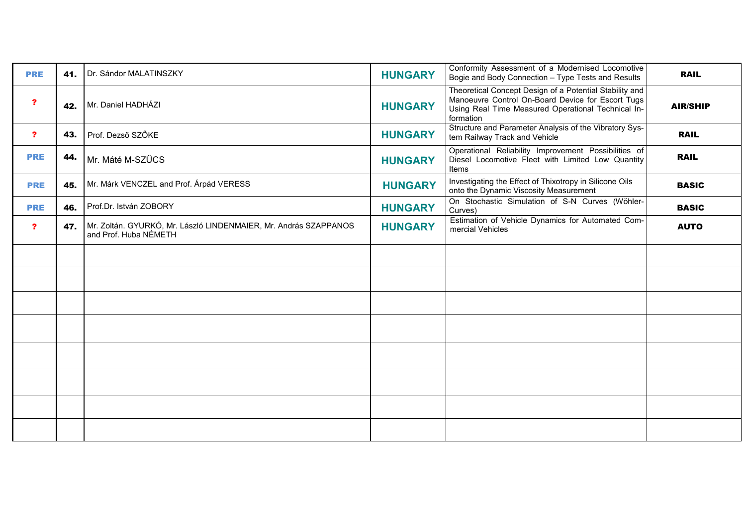| <b>PRE</b>              | 41. | Dr. Sándor MALATINSZKY                                                                    | <b>HUNGARY</b> | Conformity Assessment of a Modernised Locomotive<br>Bogie and Body Connection - Type Tests and Results                                                                          | <b>RAIL</b>     |
|-------------------------|-----|-------------------------------------------------------------------------------------------|----------------|---------------------------------------------------------------------------------------------------------------------------------------------------------------------------------|-----------------|
| $\mathbf{r}$            | 42. | Mr. Daniel HADHÁZI                                                                        | <b>HUNGARY</b> | Theoretical Concept Design of a Potential Stability and<br>Manoeuvre Control On-Board Device for Escort Tugs<br>Using Real Time Measured Operational Technical In-<br>formation | <b>AIR/SHIP</b> |
| ?                       | 43. | Prof. Dezső SZŐKE                                                                         | <b>HUNGARY</b> | Structure and Parameter Analysis of the Vibratory Sys-<br>tem Railway Track and Vehicle                                                                                         | <b>RAIL</b>     |
| <b>PRE</b>              | 44. | Mr. Máté M-SZŰCS                                                                          | <b>HUNGARY</b> | Operational Reliability Improvement Possibilities of<br>Diesel Locomotive Fleet with Limited Low Quantity<br>Items                                                              | <b>RAIL</b>     |
| <b>PRE</b>              | 45. | Mr. Márk VENCZEL and Prof. Árpád VERESS                                                   | <b>HUNGARY</b> | Investigating the Effect of Thixotropy in Silicone Oils<br>onto the Dynamic Viscosity Measurement                                                                               | <b>BASIC</b>    |
| <b>PRE</b>              | 46. | Prof.Dr. István ZOBORY                                                                    | <b>HUNGARY</b> | On Stochastic Simulation of S-N Curves (Wöhler-<br>Curves)                                                                                                                      | <b>BASIC</b>    |
| $\overline{\mathbf{r}}$ | 47. | Mr. Zoltán. GYURKÓ, Mr. László LINDENMAIER, Mr. András SZAPPANOS<br>and Prof. Huba NÉMETH | <b>HUNGARY</b> | Estimation of Vehicle Dynamics for Automated Com-<br>mercial Vehicles                                                                                                           | <b>AUTO</b>     |
|                         |     |                                                                                           |                |                                                                                                                                                                                 |                 |
|                         |     |                                                                                           |                |                                                                                                                                                                                 |                 |
|                         |     |                                                                                           |                |                                                                                                                                                                                 |                 |
|                         |     |                                                                                           |                |                                                                                                                                                                                 |                 |
|                         |     |                                                                                           |                |                                                                                                                                                                                 |                 |
|                         |     |                                                                                           |                |                                                                                                                                                                                 |                 |
|                         |     |                                                                                           |                |                                                                                                                                                                                 |                 |
|                         |     |                                                                                           |                |                                                                                                                                                                                 |                 |